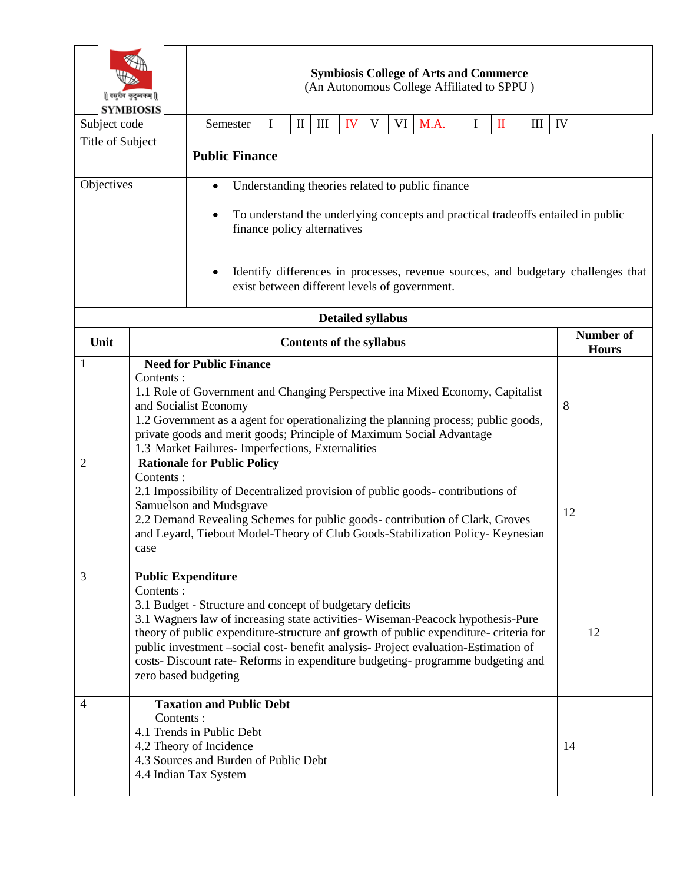| वसुधैव कुटुम्बकम्   <br><b>SYMBIOSIS</b> |                                                                                                                                                                                                                                                                                                                                                                                                                                                                                                                                                                                                                                                                                                                  | <b>Symbiosis College of Arts and Commerce</b><br>(An Autonomous College Affiliated to SPPU)                                                                                                                                                                                                                            |          |          |              |                    |                          |   |    |                                  |          |              |     |    |  |
|------------------------------------------|------------------------------------------------------------------------------------------------------------------------------------------------------------------------------------------------------------------------------------------------------------------------------------------------------------------------------------------------------------------------------------------------------------------------------------------------------------------------------------------------------------------------------------------------------------------------------------------------------------------------------------------------------------------------------------------------------------------|------------------------------------------------------------------------------------------------------------------------------------------------------------------------------------------------------------------------------------------------------------------------------------------------------------------------|----------|----------|--------------|--------------------|--------------------------|---|----|----------------------------------|----------|--------------|-----|----|--|
| Subject code                             |                                                                                                                                                                                                                                                                                                                                                                                                                                                                                                                                                                                                                                                                                                                  |                                                                                                                                                                                                                                                                                                                        | Semester | $\bf{I}$ | $\mathbf{I}$ | $\mathop{\rm III}$ | IV                       | V |    | VI M.A.                          | $\bf{I}$ | $\mathbf{I}$ | III | IV |  |
| Title of Subject                         |                                                                                                                                                                                                                                                                                                                                                                                                                                                                                                                                                                                                                                                                                                                  | <b>Public Finance</b>                                                                                                                                                                                                                                                                                                  |          |          |              |                    |                          |   |    |                                  |          |              |     |    |  |
| Objectives                               |                                                                                                                                                                                                                                                                                                                                                                                                                                                                                                                                                                                                                                                                                                                  | Understanding theories related to public finance<br>$\bullet$<br>To understand the underlying concepts and practical tradeoffs entailed in public<br>finance policy alternatives<br>Identify differences in processes, revenue sources, and budgetary challenges that<br>exist between different levels of government. |          |          |              |                    |                          |   |    |                                  |          |              |     |    |  |
|                                          |                                                                                                                                                                                                                                                                                                                                                                                                                                                                                                                                                                                                                                                                                                                  |                                                                                                                                                                                                                                                                                                                        |          |          |              |                    | <b>Detailed syllabus</b> |   |    |                                  |          |              |     |    |  |
| Unit                                     | <b>Contents of the syllabus</b>                                                                                                                                                                                                                                                                                                                                                                                                                                                                                                                                                                                                                                                                                  |                                                                                                                                                                                                                                                                                                                        |          |          |              |                    |                          |   |    | <b>Number of</b><br><b>Hours</b> |          |              |     |    |  |
| 1<br>2                                   | <b>Need for Public Finance</b><br>Contents:<br>1.1 Role of Government and Changing Perspective ina Mixed Economy, Capitalist<br>and Socialist Economy<br>1.2 Government as a agent for operationalizing the planning process; public goods,<br>private goods and merit goods; Principle of Maximum Social Advantage<br>1.3 Market Failures- Imperfections, Externalities<br><b>Rationale for Public Policy</b><br>Contents:<br>2.1 Impossibility of Decentralized provision of public goods-contributions of<br>Samuelson and Mudsgrave<br>2.2 Demand Revealing Schemes for public goods-contribution of Clark, Groves<br>and Leyard, Tiebout Model-Theory of Club Goods-Stabilization Policy- Keynesian<br>case |                                                                                                                                                                                                                                                                                                                        |          |          |              |                    |                          |   |    | 8<br>12                          |          |              |     |    |  |
| 3                                        | <b>Public Expenditure</b><br>Contents:<br>3.1 Budget - Structure and concept of budgetary deficits<br>3.1 Wagners law of increasing state activities-Wiseman-Peacock hypothesis-Pure<br>theory of public expenditure-structure anf growth of public expenditure- criteria for<br>public investment -social cost- benefit analysis- Project evaluation-Estimation of<br>costs- Discount rate- Reforms in expenditure budgeting- programme budgeting and<br>zero based budgeting                                                                                                                                                                                                                                   |                                                                                                                                                                                                                                                                                                                        |          |          |              |                    |                          |   | 12 |                                  |          |              |     |    |  |
| 4                                        | <b>Taxation and Public Debt</b><br>Contents:<br>4.1 Trends in Public Debt<br>4.2 Theory of Incidence<br>4.3 Sources and Burden of Public Debt<br>4.4 Indian Tax System                                                                                                                                                                                                                                                                                                                                                                                                                                                                                                                                           |                                                                                                                                                                                                                                                                                                                        |          |          |              |                    |                          |   | 14 |                                  |          |              |     |    |  |